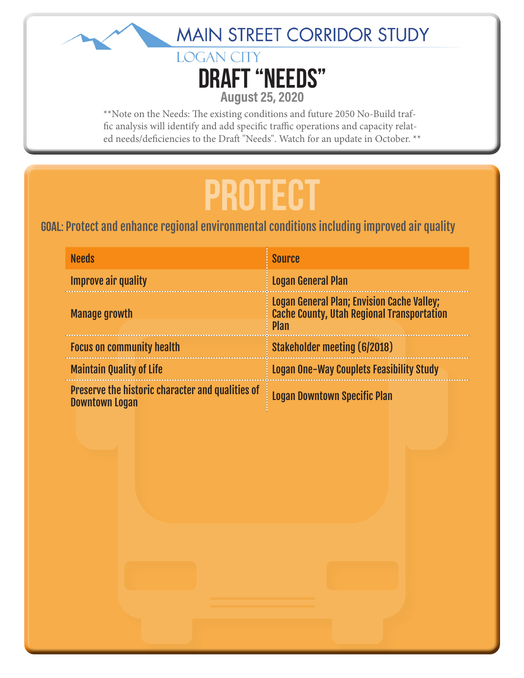



\*\*Note on the Needs: The existing conditions and future 2050 No-Build traffic analysis will identify and add specific traffic operations and capacity related needs/deficiencies to the Draft "Needs". Watch for an update in October. \*\*

### **PROTECT**

#### Goal: Protect and enhance regional environmental conditions including improved air quality

| <b>Needs</b>                                                              | <b>Source</b>                                                                                                         |
|---------------------------------------------------------------------------|-----------------------------------------------------------------------------------------------------------------------|
| <b>Improve air quality</b>                                                | <b>Logan General Plan</b>                                                                                             |
| <b>Manage growth</b>                                                      | <b>Logan General Plan; Envision Cache Valley;</b><br><b>Cache County, Utah Regional Transportation</b><br><b>Plan</b> |
| <b>Focus on community health</b>                                          | <b>Stakeholder meeting (6/2018)</b>                                                                                   |
| <b>Maintain Quality of Life</b>                                           | <b>Logan One-Way Couplets Feasibility Study</b>                                                                       |
| Preserve the historic character and qualities of<br><b>Downtown Logan</b> | <b>Logan Downtown Specific Plan</b>                                                                                   |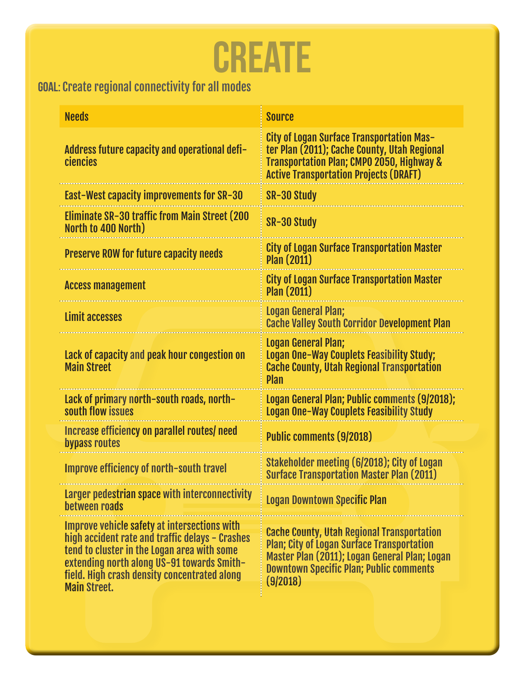# **CREATE**

### Goal: Create regional connectivity for all modes

| <b>Needs</b>                                                                                                                                                                                                                                                        | <b>Source</b>                                                                                                                                                                                                         |
|---------------------------------------------------------------------------------------------------------------------------------------------------------------------------------------------------------------------------------------------------------------------|-----------------------------------------------------------------------------------------------------------------------------------------------------------------------------------------------------------------------|
| Address future capacity and operational defi-<br>ciencies                                                                                                                                                                                                           | <b>City of Logan Surface Transportation Mas-</b><br>ter Plan (2011); Cache County, Utah Regional<br><b>Transportation Plan; CMPO 2050, Highway &amp;</b><br><b>Active Transportation Projects (DRAFT)</b>             |
| East-West capacity improvements for SR-30                                                                                                                                                                                                                           | SR-30 Study                                                                                                                                                                                                           |
| Eliminate SR-30 traffic from Main Street (200<br>North to 400 North)                                                                                                                                                                                                | SR-30 Study                                                                                                                                                                                                           |
| <b>Preserve ROW for future capacity needs</b>                                                                                                                                                                                                                       | <b>City of Logan Surface Transportation Master</b><br><b>Plan (2011)</b>                                                                                                                                              |
| <b>Access management</b>                                                                                                                                                                                                                                            | <b>City of Logan Surface Transportation Master</b><br><b>Plan (2011)</b>                                                                                                                                              |
| Limit accesses                                                                                                                                                                                                                                                      | Logan General Plan;<br><b>Cache Valley South Corridor Development Plan</b>                                                                                                                                            |
| Lack of capacity and peak hour congestion on<br><b>Main Street</b>                                                                                                                                                                                                  | Logan General Plan;<br>Logan One-Way Couplets Feasibility Study;<br><b>Cache County, Utah Regional Transportation</b><br><b>Plan</b>                                                                                  |
| Lack of primary north-south roads, north-<br>south flow issues                                                                                                                                                                                                      | Logan General Plan; Public comments (9/2018);<br>Logan One-Way Couplets Feasibility Study                                                                                                                             |
| Increase efficiency on parallel routes/need<br>bypass routes                                                                                                                                                                                                        | <b>Public comments (9/2018)</b>                                                                                                                                                                                       |
| Improve efficiency of north-south travel                                                                                                                                                                                                                            | Stakeholder meeting (6/2018); City of Logan<br><b>Surface Transportation Master Plan (2011)</b>                                                                                                                       |
| Larger pedestrian space with interconnectivity<br>between roads                                                                                                                                                                                                     | <b>Logan Downtown Specific Plan</b>                                                                                                                                                                                   |
| Improve vehicle safety at intersections with<br>high accident rate and traffic delays - Crashes<br>tend to cluster in the Logan area with some<br>extending north along US-91 towards Smith-<br>field. High crash density concentrated along<br><b>Main Street.</b> | <b>Cache County, Utah Regional Transportation</b><br><b>Plan; City of Logan Surface Transportation</b><br>Master Plan (2011); Logan General Plan; Logan<br><b>Downtown Specific Plan; Public comments</b><br>(9/2018) |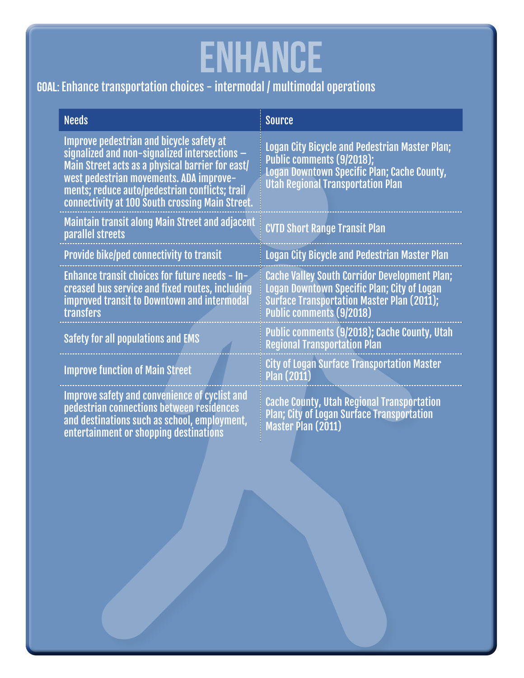# **ENHANCE**

### Goal: Enhance transportation choices - intermodal / multimodal operations

| <b>Needs</b>                                                                                                                                                                                                                                                                                    | <b>Source</b>                                                                                                                                                                        |
|-------------------------------------------------------------------------------------------------------------------------------------------------------------------------------------------------------------------------------------------------------------------------------------------------|--------------------------------------------------------------------------------------------------------------------------------------------------------------------------------------|
| Improve pedestrian and bicycle safety at<br>signalized and non-signalized intersections $-$<br>Main Street acts as a physical barrier for east/<br>west pedestrian movements. ADA improve-<br>ments; reduce auto/pedestrian conflicts; trail<br>connectivity at 100 South crossing Main Street. | <b>Logan City Bicycle and Pedestrian Master Plan;</b><br>Public comments (9/2018);<br>Logan Downtown Specific Plan; Cache County,<br><b>Utah Regional Transportation Plan</b>        |
| Maintain transit along Main Street and adjacent<br>parallel streets                                                                                                                                                                                                                             | <b>CVTD Short Range Transit Plan</b>                                                                                                                                                 |
| <b>Provide bike/ped connectivity to transit</b>                                                                                                                                                                                                                                                 | Logan City Bicycle and Pedestrian Master Plan                                                                                                                                        |
| Enhance transit choices for future needs - In-<br>creased bus service and fixed routes, including<br><b>improved transit to Downtown and intermodal</b><br>transfers                                                                                                                            | <b>Cache Valley South Corridor Development Plan;</b><br>Logan Downtown Specific Plan; City of Logan<br>Surface Transportation Master Plan (2011);<br><b>Public comments (9/2018)</b> |
| Safety for all populations and EMS                                                                                                                                                                                                                                                              | Public comments (9/2018); Cache County, Utah<br><b>Regional Transportation Plan</b>                                                                                                  |
| <b>Improve function of Main Street</b>                                                                                                                                                                                                                                                          | <b>City of Logan Surface Transportation Master</b><br><b>Plan (2011)</b>                                                                                                             |
| Improve safety and convenience of cyclist and<br>pedestrian connections between residences<br>and destinations such as school, employment,<br>entertainment or shopping destinations                                                                                                            | <b>Cache County, Utah Regional Transportation</b><br><b>Plan; City of Logan Surface Transportation</b><br>Master Plan (2011)                                                         |